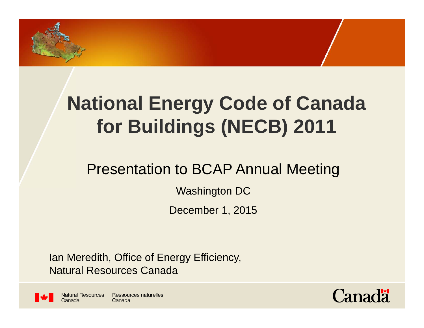# **National Energy Code of Canada for Buildings (NECB) 2011**

#### Presentation to BCAP Annual Meeting

Washington DC

December 1, 2015

Ian Meredith, Office of Energy Efficiency, Natural Resources Canada



Canada

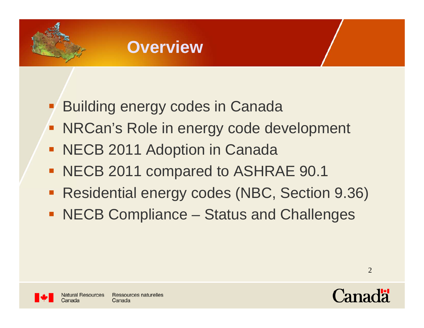

#### **Overview**

- **Building energy codes in Canada**
- **NRCan's Role in energy code development**
- **NECB 2011 Adoption in Canada**
- NECB 2011 compared to ASHRAE 90.1
- Residential energy codes (NBC, Section 9.36)
- NECB Compliance Status and Challenges





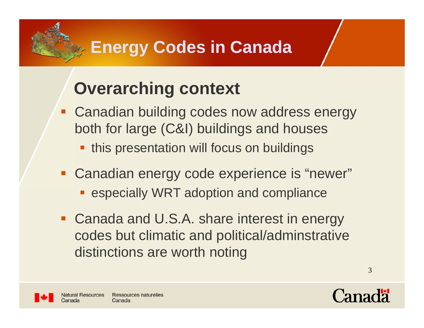#### **Energy Codes in Canada**

# **Overarching context**

- **Canadian building codes now address energy** both for large (C&I) buildings and houses
	- **this presentation will focus on buildings**
- **Canadian energy code experience is "newer" Exercially WRT adoption and compliance**
- **Canada and U.S.A. share interest in energy** codes but climatic and political/adminstrative distinctions are worth noting



Canada

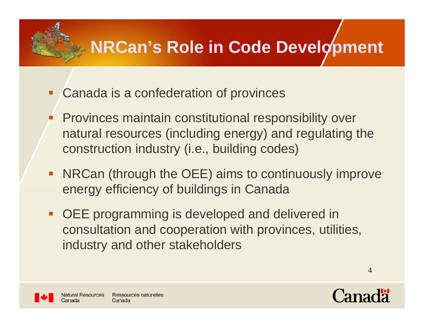# **NRCan's Role in Code Development**

- Ξ Canada is a confederation of provinces
- Ξ Provinces maintain constitutional responsibility over natural resources (including energy) and regulating the construction industry (i.e., building codes)
- NRCan (through the OEE) aims to continuously improve energy efficiency of buildings in Canada
- **OEE programming is developed and delivered in** consultation and cooperation with provinces, utilities, industry and other stakeholders





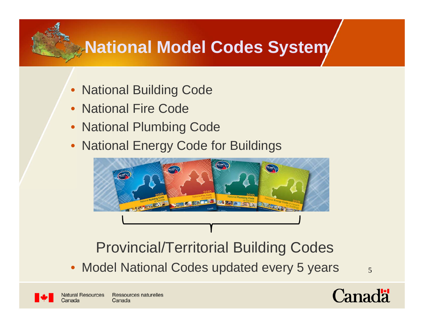### **National Model Codes System**

- National Building Code
- National Fire Code
- National Plumbing Code
- National Energy Code for Buildings



#### Provincial/Territorial Building Codes

• Model National Codes updated every 5 years  $5$ 



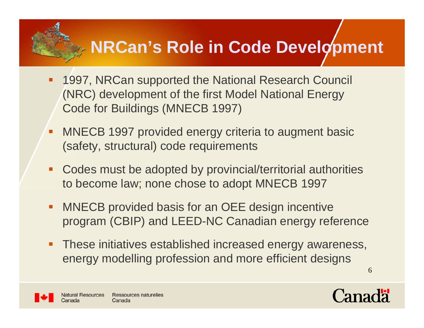# **NRCan's Role in Code Development**

- 1997, NRCan supported the National Research Council (NRC) development of the first Model National Energy Code for Buildings (MNECB 1997)
- Π MNECB 1997 provided energy criteria to augment basic (safety, structural) code requirements
- $\blacksquare$  Codes must be adopted by provincial/territorial authorities to become law; none chose to adopt MNECB 1997
- $\blacksquare$  MNECB provided basis for an OEE design incentive program (CBIP) and LEED-NC Canadian energy reference
- These initiatives established increased energy awareness, energy modelling profession and more efficient designs

6



Canada

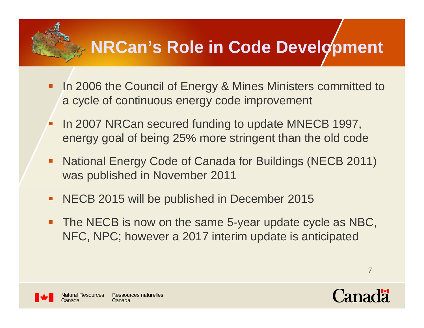# **NRCan's Role in Code Development**

- Π In 2006 the Council of Energy & Mines Ministers committed to a cycle of continuous energy code improvement
- $\overline{\mathbb{R}}$  In 2007 NRCan secured funding to update MNECB 1997, energy goal of being 25% more stringent than the old code
- $\blacksquare$  National Energy Code of Canada for Buildings (NECB 2011) was published in November 2011
- $\blacksquare$ NECB 2015 will be published in December 2015
- $\blacksquare$  The NECB is now on the same 5-year update cycle as NBC, NFC, NPC; however a 2017 interim update is anticipated





Canada

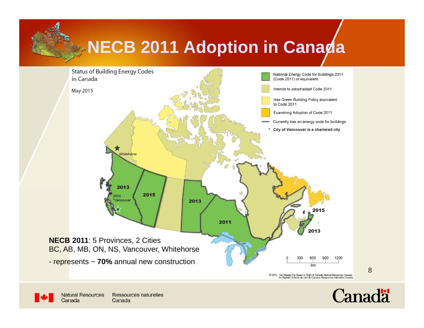# **NECB 2011 Adoption in Canada**



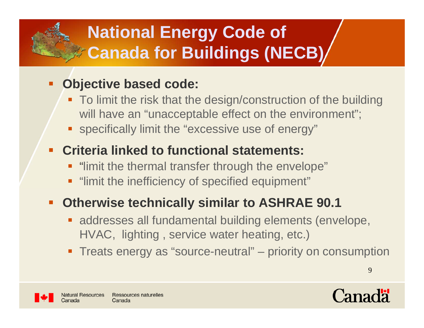### **National Energy Code of Canada for Buildings (NECB)**

#### **Objective based code:**

- To limit the risk that the design/construction of the building will have an "unacceptable effect on the environment";
- **SPECIFICALLY limit the "excessive use of energy"**

#### **Criteria linked to functional statements:**

- **.** "limit the thermal transfer through the envelope"
- "limit the inefficiency of specified equipment"

#### **Otherwise technically similar to ASHRAE 90.1**

- **Example 2 and responsive Standamental building elements (envelope,** HVAC, lighting , service water heating, etc.)
- Treats energy as "source-neutral" priority on consumption



Canada

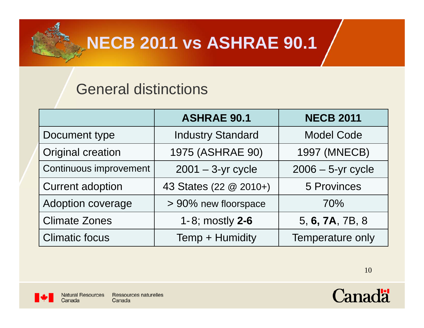# **NECB 2011 vs ASHRAE 90.1**

#### General distinctions

|                          | <b>ASHRAE 90.1</b>       | <b>NECB 2011</b>     |
|--------------------------|--------------------------|----------------------|
| Document type            | <b>Industry Standard</b> | <b>Model Code</b>    |
| <b>Original creation</b> | 1975 (ASHRAE 90)         | <b>1997 (MNECB)</b>  |
| Continuous improvement   | $2001 - 3$ -yr cycle     | $2006 - 5$ -yr cycle |
| <b>Current adoption</b>  | 43 States (22 @ 2010+)   | <b>5 Provinces</b>   |
| <b>Adoption coverage</b> | > 90% new floorspace     | 70%                  |
| <b>Climate Zones</b>     | 1-8; mostly 2-6          | 5, 6, 7A, 7B, 8      |
| <b>Climatic focus</b>    | Temp + Humidity          | Temperature only     |



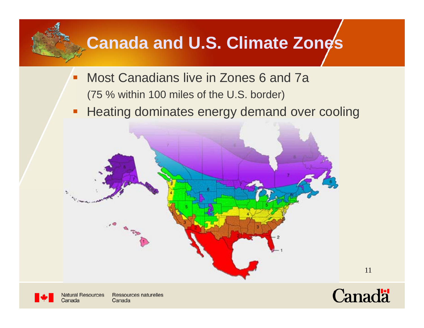### **Canada and U.S. Climate Zones**

- œ. Most Canadians live in Zones 6 and 7a(75 % within 100 miles of the U.S. border)
- **Heating dominates energy demand over cooling**





**Natural Resources** Ressources naturelles Canada

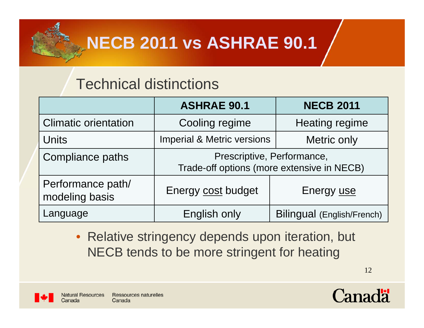

### **NECB 2011 vs ASHRAE 90.1**

#### Technical distinctions

|                                     | <b>ASHRAE 90.1</b>                                                       | <b>NECB 2011</b>           |
|-------------------------------------|--------------------------------------------------------------------------|----------------------------|
| <b>Climatic orientation</b>         | Cooling regime                                                           | Heating regime             |
| <b>Units</b>                        | <b>Imperial &amp; Metric versions</b>                                    | Metric only                |
| <b>Compliance paths</b>             | Prescriptive, Performance,<br>Trade-off options (more extensive in NECB) |                            |
| Performance path/<br>modeling basis | Energy cost budget                                                       | Energy use                 |
| Language                            | <b>English only</b>                                                      | Bilingual (English/French) |

• Relative stringency depends upon iteration, but NECB tends to be more stringent for heating



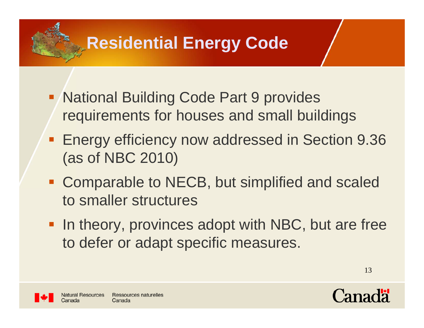### **Residential Energy Code**

- **National Building Code Part 9 provides** requirements for houses and small buildings
- **Energy efficiency now addressed in Section 9.36** (as of NBC 2010)
- **Comparable to NECB, but simplified and scaled** to smaller structures
- **In theory, provinces adopt with NBC, but are free** to defer or adapt specific measures.





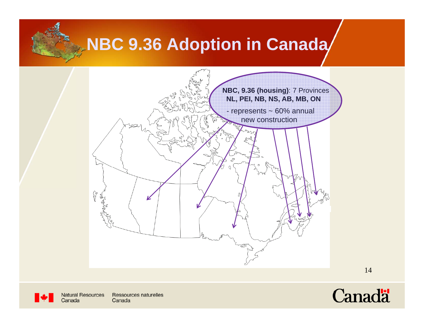#### **NBC 9.36 Adoption in Canada**





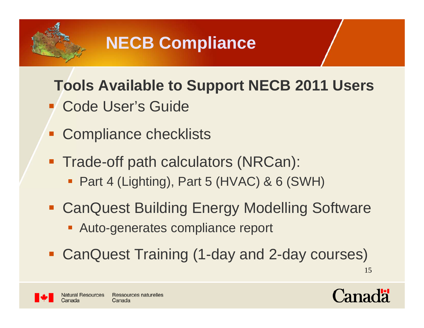

#### **Tools Available to Support NECB 2011 Users**

- Code User's Guide
- **Compliance checklists**
- **Trade-off path calculators (NRCan):** 
	- Part 4 (Lighting), Part 5 (HVAC) & 6 (SWH)
- **CanQuest Building Energy Modelling Software** 
	- Auto-generates compliance report
- CanQuest Training (1-day and 2-day courses)



Canada

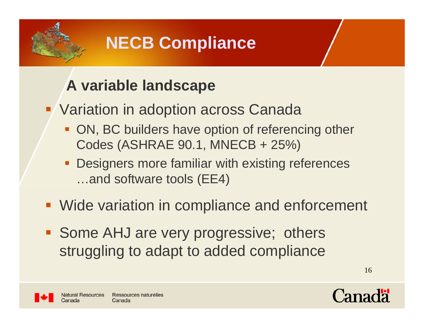

#### **A variable landscape**

- **Variation in adoption across Canada** 
	- **ON, BC builders have option of referencing other** Codes (ASHRAE 90.1, MNECB + 25%)
	- **Designers more familiar with existing references** …and software tools (EE4)
- **Wide variation in compliance and enforcement**
- **Some AHJ are very progressive; others** struggling to adapt to added compliance



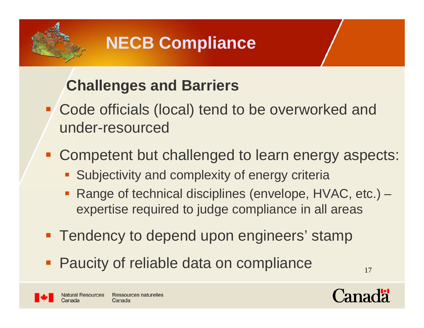

#### **Challenges and Barriers**

- **Code officials (local) tend to be overworked and** under-resourced
- **EX Competent but challenged to learn energy aspects:** 
	- **Subjectivity and complexity of energy criterially**
	- Range of technical disciplines (envelope, HVAC, etc.) expertise required to judge compliance in all areas
- Tendency to depend upon engineers' stamp
- **Paucity of reliable data on compliance**



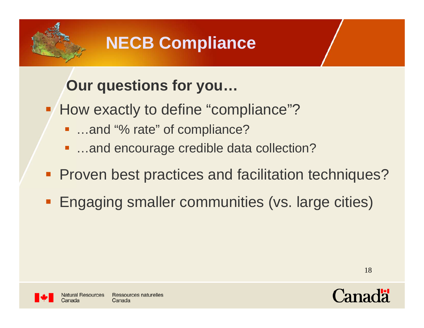

#### **Our questions for you…**

- How exactly to define "compliance"?
	- …and "% rate" of compliance?
	- …and encourage credible data collection?
- **Proven best practices and facilitation techniques?**
- **Engaging smaller communities (vs. large cities)**